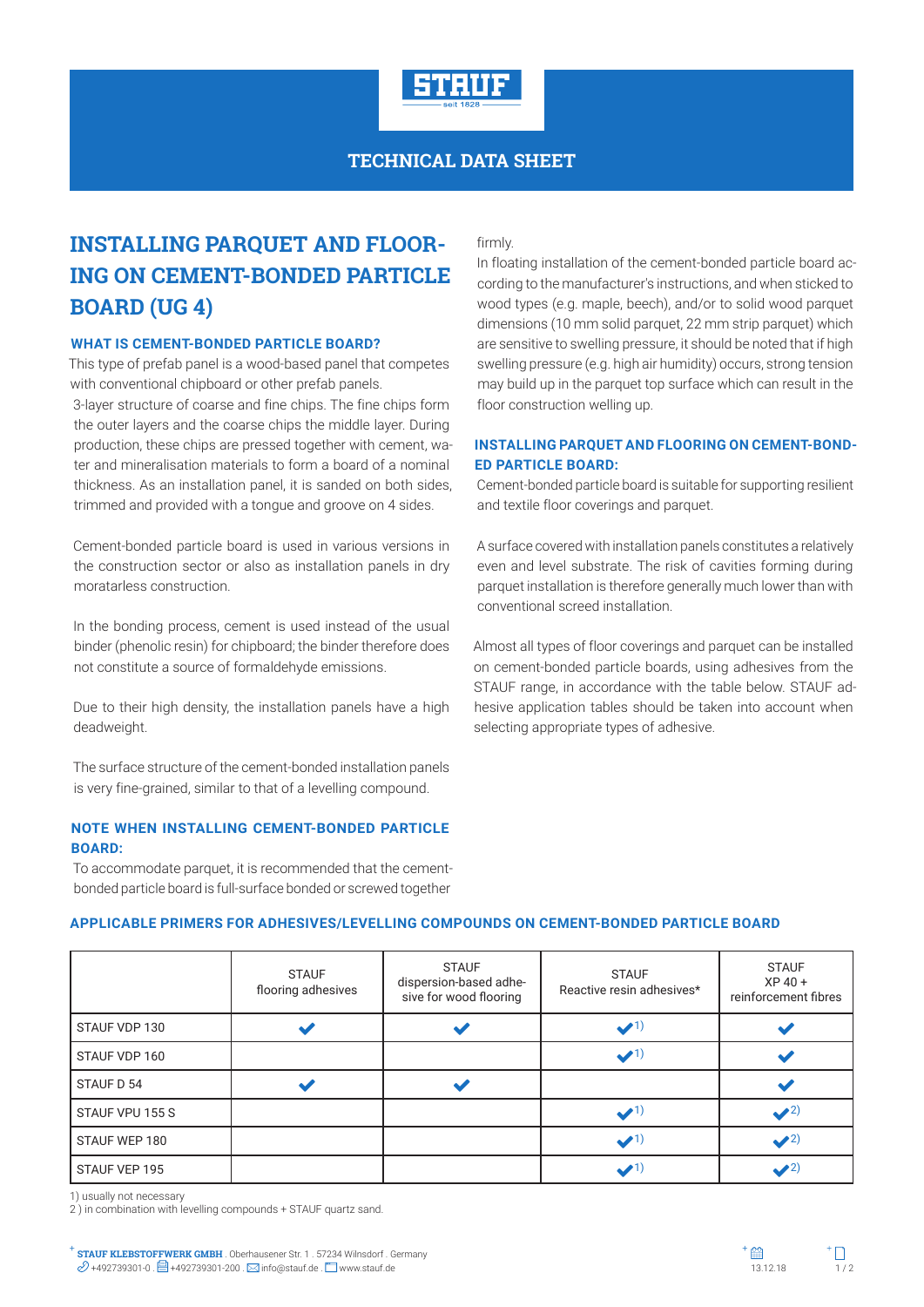

# **TECHNICAL DATA SHEET**

# **INSTALLING PARQUET AND FLOOR-ING ON CEMENT-BONDED PARTICLE BOARD (UG 4)**

#### **WHAT IS CEMENT-BONDED PARTICLE BOARD?**

This type of prefab panel is a wood-based panel that competes with conventional chipboard or other prefab panels.

3-layer structure of coarse and fine chips. The fine chips form the outer layers and the coarse chips the middle layer. During production, these chips are pressed together with cement, water and mineralisation materials to form a board of a nominal thickness. As an installation panel, it is sanded on both sides, trimmed and provided with a tongue and groove on 4 sides.

Cement-bonded particle board is used in various versions in the construction sector or also as installation panels in dry moratarless construction.

In the bonding process, cement is used instead of the usual binder (phenolic resin) for chipboard; the binder therefore does not constitute a source of formaldehyde emissions.

Due to their high density, the installation panels have a high deadweight.

The surface structure of the cement-bonded installation panels is very fine-grained, similar to that of a levelling compound.

# **NOTE WHEN INSTALLING CEMENT-BONDED PARTICLE BOARD:**

To accommodate parquet, it is recommended that the cementbonded particle board is full-surface bonded or screwed together

#### firmly.

In floating installation of the cement-bonded particle board according to the manufacturer's instructions, and when sticked to wood types (e.g. maple, beech), and/or to solid wood parquet dimensions (10 mm solid parquet, 22 mm strip parquet) which are sensitive to swelling pressure, it should be noted that if high swelling pressure (e.g. high air humidity) occurs, strong tension may build up in the parquet top surface which can result in the floor construction welling up.

# **INSTALLING PARQUET AND FLOORING ON CEMENT-BOND-ED PARTICLE BOARD:**

Cement-bonded particle board is suitable for supporting resilient and textile floor coverings and parquet.

A surface covered with installation panels constitutes a relatively even and level substrate. The risk of cavities forming during parquet installation is therefore generally much lower than with conventional screed installation.

Almost all types of floor coverings and parquet can be installed on cement-bonded particle boards, using adhesives from the STAUF range, in accordance with the table below. STAUF adhesive application tables should be taken into account when selecting appropriate types of adhesive.

### **APPLICABLE PRIMERS FOR ADHESIVES/LEVELLING COMPOUNDS ON CEMENT-BONDED PARTICLE BOARD**

|                 | <b>STAUF</b><br>flooring adhesives | <b>STAUF</b><br>dispersion-based adhe-<br>sive for wood flooring | <b>STAUF</b><br>Reactive resin adhesives* | <b>STAUF</b><br>$XP 40 +$<br>reinforcement fibres |
|-----------------|------------------------------------|------------------------------------------------------------------|-------------------------------------------|---------------------------------------------------|
| STAUF VDP 130   |                                    |                                                                  | $\bullet$ <sup>1)</sup>                   |                                                   |
| STAUF VDP 160   |                                    |                                                                  | $\bullet$ <sup>1)</sup>                   |                                                   |
| STAUF D 54      |                                    |                                                                  |                                           |                                                   |
| STAUF VPU 155 S |                                    |                                                                  | $\bullet$ <sup>1)</sup>                   | $\sqrt{2}$                                        |
| STAUF WEP 180   |                                    |                                                                  | $\bullet$ <sup>1)</sup>                   | $\sqrt{2}$                                        |
| STAUF VEP 195   |                                    |                                                                  |                                           | $\bullet$ 2                                       |

1) usually not necessary

2 ) in combination with levelling compounds + STAUF quartz sand.